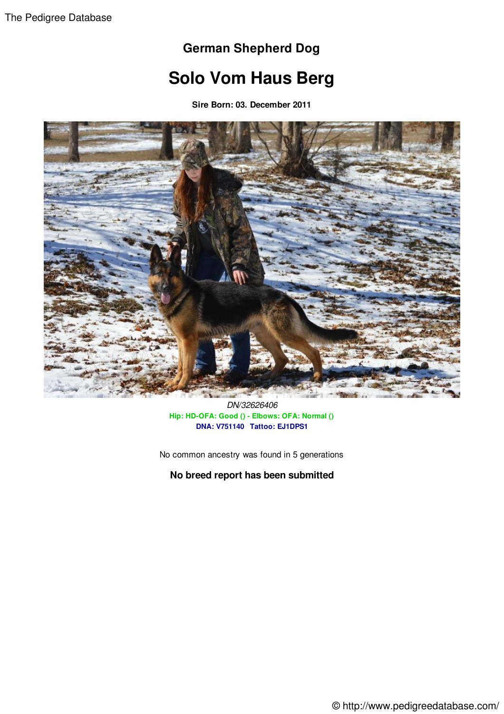## **German Shepherd Dog**

## **Solo Vom Haus Berg**

**Sire Born: 03. December 2011**



*DN/32626406* **Hip: HD-OFA: Good () - Elbows: OFA: Normal () DNA: V751140 Tattoo: EJ1DPS1**

No common ancestry was found in 5 generations

**No breed report has been submitted**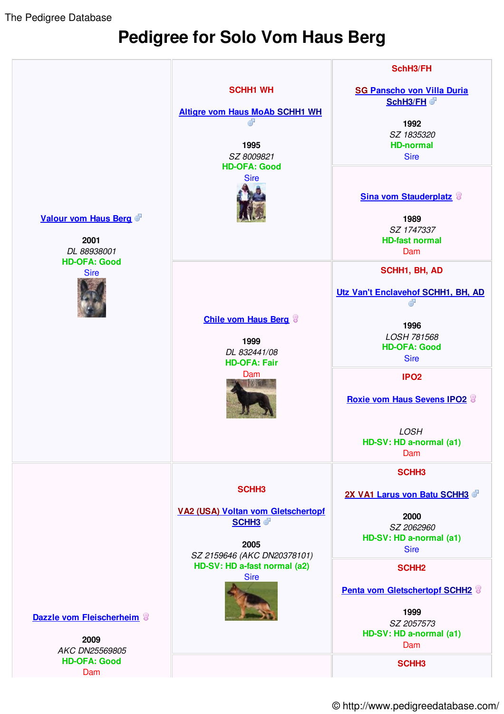The Pedigree Database

## **Pedigree for Solo Vom Haus Berg**



© http://www.pedigreedatabase.com/